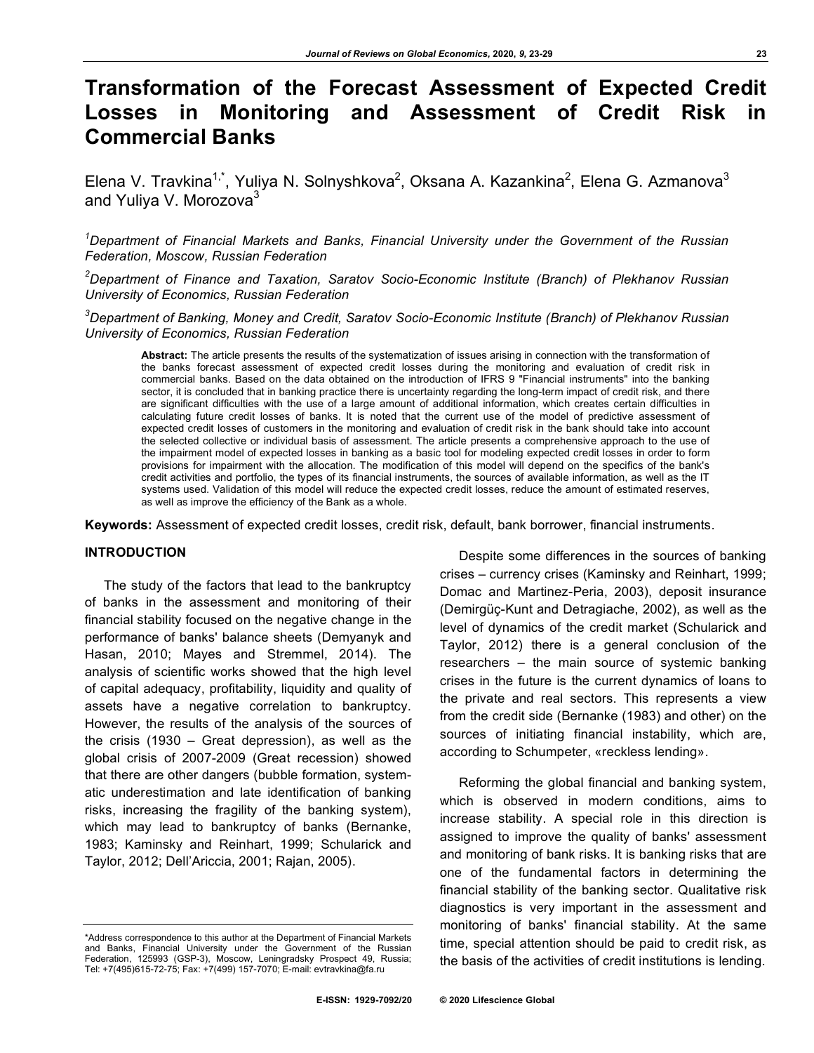# **Transformation of the Forecast Assessment of Expected Credit Losses in Monitoring and Assessment of Credit Risk in Commercial Banks**

Elena V. Travkina<sup>1,\*</sup>, Yuliya N. Solnyshkova<sup>2</sup>, Oksana A. Kazankina<sup>2</sup>, Elena G. Azmanova<sup>3</sup> and Yuliya V. Morozova<sup>3</sup>

*1 Department of Financial Markets and Banks, Financial University under the Government of the Russian Federation, Moscow, Russian Federation*

*2 Department of Finance and Taxation, Saratov Socio-Economic Institute (Branch) of Plekhanov Russian University of Economics, Russian Federation*

*3 Department of Banking, Money and Credit, Saratov Socio-Economic Institute (Branch) of Plekhanov Russian University of Economics, Russian Federation*

**Abstract:** The article presents the results of the systematization of issues arising in connection with the transformation of the banks forecast assessment of expected credit losses during the monitoring and evaluation of credit risk in commercial banks. Based on the data obtained on the introduction of IFRS 9 "Financial instruments" into the banking sector, it is concluded that in banking practice there is uncertainty regarding the long-term impact of credit risk, and there are significant difficulties with the use of a large amount of additional information, which creates certain difficulties in calculating future credit losses of banks. It is noted that the current use of the model of predictive assessment of expected credit losses of customers in the monitoring and evaluation of credit risk in the bank should take into account the selected collective or individual basis of assessment. The article presents a comprehensive approach to the use of the impairment model of expected losses in banking as a basic tool for modeling expected credit losses in order to form provisions for impairment with the allocation. The modification of this model will depend on the specifics of the bank's credit activities and portfolio, the types of its financial instruments, the sources of available information, as well as the IT systems used. Validation of this model will reduce the expected credit losses, reduce the amount of estimated reserves, as well as improve the efficiency of the Bank as a whole.

**Keywords:** Assessment of expected credit losses, credit risk, default, bank borrower, financial instruments.

## **INTRODUCTION**

The study of the factors that lead to the bankruptcy of banks in the assessment and monitoring of their financial stability focused on the negative change in the performance of banks' balance sheets (Demyanyk and Hasan, 2010; Mayes and Stremmel, 2014). The analysis of scientific works showed that the high level of capital adequacy, profitability, liquidity and quality of assets have a negative correlation to bankruptcy. However, the results of the analysis of the sources of the crisis (1930 – Great depression), as well as the global crisis of 2007-2009 (Great recession) showed that there are other dangers (bubble formation, systematic underestimation and late identification of banking risks, increasing the fragility of the banking system), which may lead to bankruptcy of banks (Bernanke, 1983; Kaminsky and Reinhart, 1999; Schularick and Taylor, 2012; Dell'Ariccia, 2001; Rajan, 2005).

\*Address correspondence to this author at the Department of Financial Markets and Banks, Financial University under the Government of the Russian Federation, 125993 (GSP-3), Moscow, Leningradsky Prospect 49, Russia; Tel: +7(495)615-72-75; Fax: +7(499) 157-7070; E-mail: evtravkina@fa.ru

Despite some differences in the sources of banking crises – currency crises (Kaminsky and Reinhart, 1999; Domac and Martinez-Peria, 2003), deposit insurance (Demirgüç-Kunt and Detragiache, 2002), as well as the level of dynamics of the credit market (Schularick and Taylor, 2012) there is a general conclusion of the researchers – the main source of systemic banking crises in the future is the current dynamics of loans to the private and real sectors. This represents a view from the credit side (Bernanke (1983) and other) on the sources of initiating financial instability, which are, according to Schumpeter, «reckless lending».

Reforming the global financial and banking system, which is observed in modern conditions, aims to increase stability. A special role in this direction is assigned to improve the quality of banks' assessment and monitoring of bank risks. It is banking risks that are one of the fundamental factors in determining the financial stability of the banking sector. Qualitative risk diagnostics is very important in the assessment and monitoring of banks' financial stability. At the same time, special attention should be paid to credit risk, as the basis of the activities of credit institutions is lending.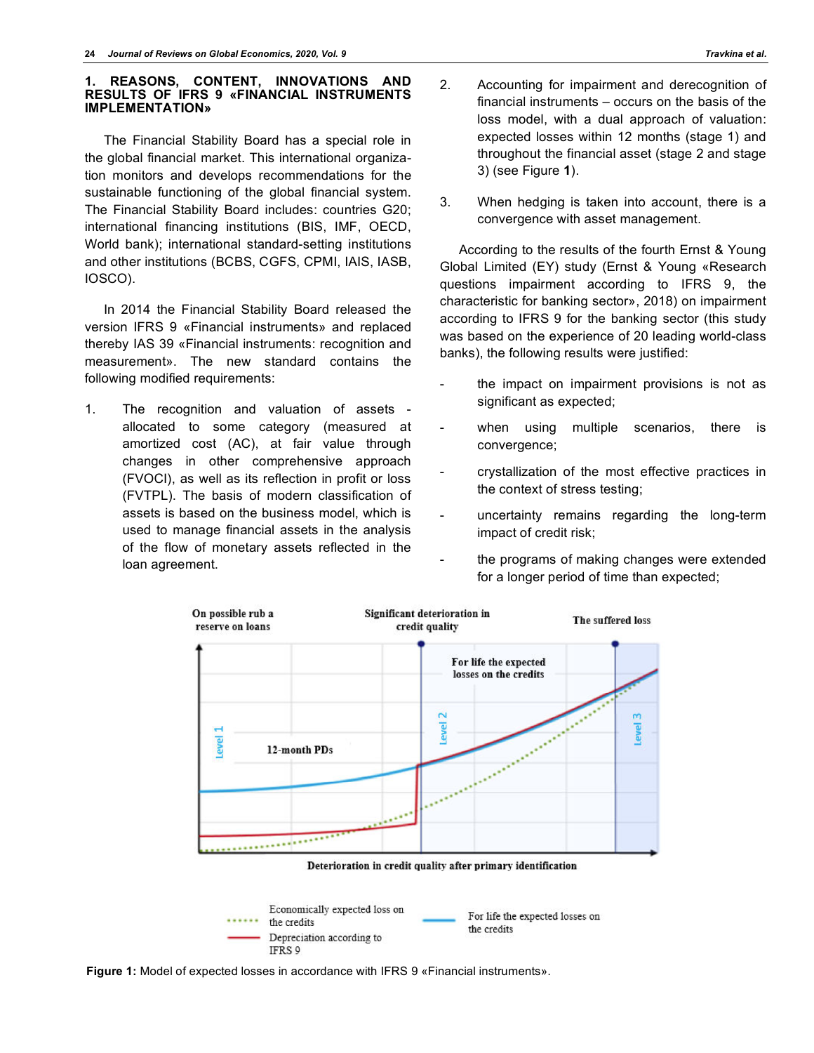#### **1. REASONS, CONTENT, INNOVATIONS AND RESULTS OF IFRS 9 «FINANCIAL INSTRUMENTS IMPLEMENTATION»**

The Financial Stability Board has a special role in the global financial market. This international organization monitors and develops recommendations for the sustainable functioning of the global financial system. The Financial Stability Board includes: countries G20; international financing institutions (BIS, IMF, OECD, World bank); international standard-setting institutions and other institutions (BCBS, CGFS, CPMI, IAIS, IASB, IOSCO).

In 2014 the Financial Stability Board released the version IFRS 9 «Financial instruments» and replaced thereby IAS 39 «Financial instruments: recognition and measurement». The new standard contains the following modified requirements:

1. The recognition and valuation of assets allocated to some category (measured at amortized cost (АС), at fair value through changes in other comprehensive approach (FVOCI), as well as its reflection in profit or loss (FVTPL). The basis of modern classification of assets is based on the business model, which is used to manage financial assets in the analysis of the flow of monetary assets reflected in the loan agreement.

- 2. Accounting for impairment and derecognition of financial instruments – occurs on the basis of the loss model, with a dual approach of valuation: expected losses within 12 months (stage 1) and throughout the financial asset (stage 2 and stage 3) (see Figure **1**).
- 3. When hedging is taken into account, there is a convergence with asset management.

According to the results of the fourth Ernst & Young Global Limited (EY) study (Ernst & Young «Research questions impairment according to IFRS 9, the characteristic for banking sector», 2018) on impairment according to IFRS 9 for the banking sector (this study was based on the experience of 20 leading world-class banks), the following results were justified:

- the impact on impairment provisions is not as significant as expected;
- when using multiple scenarios, there is convergence;
- crystallization of the most effective practices in the context of stress testing;
- uncertainty remains regarding the long-term impact of credit risk;
- the programs of making changes were extended for a longer period of time than expected;



Deterioration in credit quality after primary identification



**Figure 1:** Model of expected losses in accordance with IFRS 9 «Financial instruments».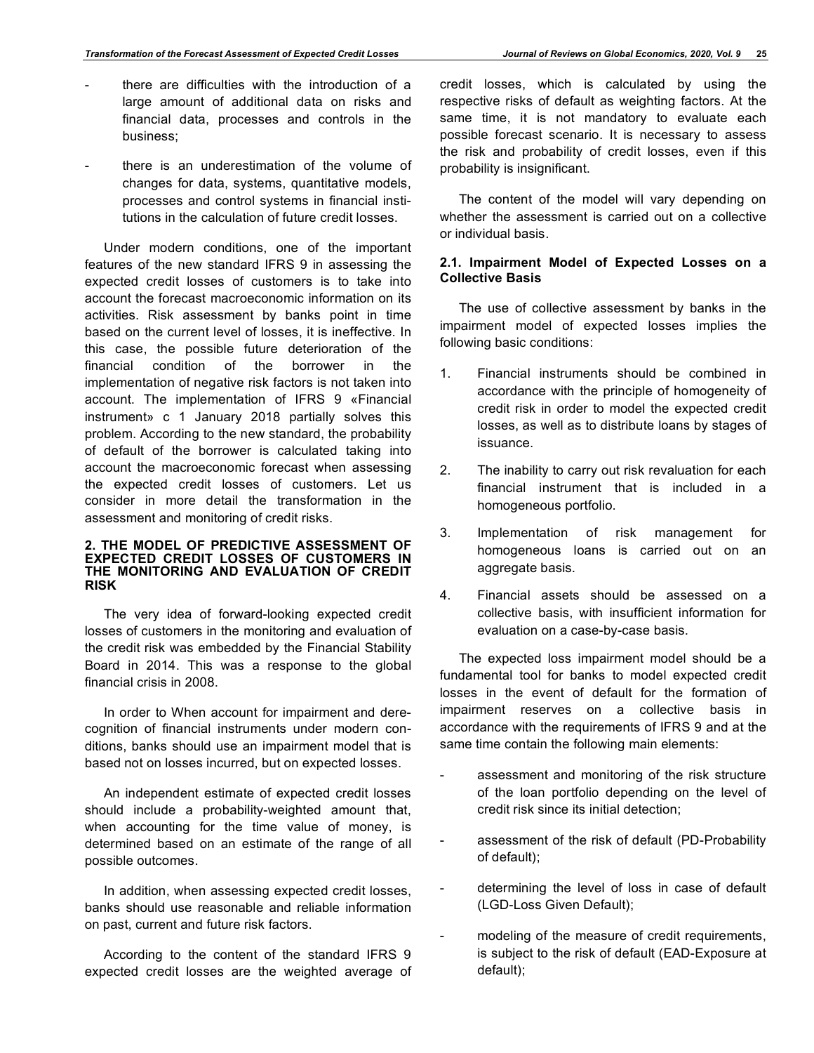- there are difficulties with the introduction of a large amount of additional data on risks and financial data, processes and controls in the business;
- there is an underestimation of the volume of changes for data, systems, quantitative models, processes and control systems in financial institutions in the calculation of future credit losses.

Under modern conditions, one of the important features of the new standard IFRS 9 in assessing the expected credit losses of customers is to take into account the forecast macroeconomic information on its activities. Risk assessment by banks point in time based on the current level of losses, it is ineffective. In this case, the possible future deterioration of the financial condition of the borrower in the implementation of negative risk factors is not taken into account. The implementation of IFRS 9 «Financial instrument» с 1 January 2018 partially solves this problem. According to the new standard, the probability of default of the borrower is calculated taking into account the macroeconomic forecast when assessing the expected credit losses of customers. Let us consider in more detail the transformation in the assessment and monitoring of credit risks.

#### **2. THE MODEL OF PREDICTIVE ASSESSMENT OF EXPECTED CREDIT LOSSES OF CUSTOMERS IN THE MONITORING AND EVALUATION OF CREDIT RISK**

The very idea of forward-looking expected credit losses of customers in the monitoring and evaluation of the credit risk was embedded by the Financial Stability Board in 2014. This was a response to the global financial crisis in 2008.

In order to When account for impairment and derecognition of financial instruments under modern conditions, banks should use an impairment model that is based not on losses incurred, but on expected losses.

An independent estimate of expected credit losses should include a probability-weighted amount that, when accounting for the time value of money, is determined based on an estimate of the range of all possible outcomes.

In addition, when assessing expected credit losses, banks should use reasonable and reliable information on past, current and future risk factors.

According to the content of the standard IFRS 9 expected credit losses are the weighted average of credit losses, which is calculated by using the respective risks of default as weighting factors. At the same time, it is not mandatory to evaluate each possible forecast scenario. It is necessary to assess the risk and probability of credit losses, even if this probability is insignificant.

The content of the model will vary depending on whether the assessment is carried out on a collective or individual basis.

### **2.1. Impairment Model of Expected Losses on a Collective Basis**

The use of collective assessment by banks in the impairment model of expected losses implies the following basic conditions:

- 1. Financial instruments should be combined in accordance with the principle of homogeneity of credit risk in order to model the expected credit losses, as well as to distribute loans by stages of issuance.
- 2. The inability to carry out risk revaluation for each financial instrument that is included in a homogeneous portfolio.
- 3. Implementation of risk management for homogeneous loans is carried out on an aggregate basis.
- 4. Financial assets should be assessed on a collective basis, with insufficient information for evaluation on a case-by-case basis.

The expected loss impairment model should be a fundamental tool for banks to model expected credit losses in the event of default for the formation of impairment reserves on a collective basis in accordance with the requirements of IFRS 9 and at the same time contain the following main elements:

- assessment and monitoring of the risk structure of the loan portfolio depending on the level of credit risk since its initial detection;
- assessment of the risk of default (PD-Probability of default);
- determining the level of loss in case of default (LGD-Loss Given Default);
- modeling of the measure of credit requirements, is subject to the risk of default (EAD-Exposure at default);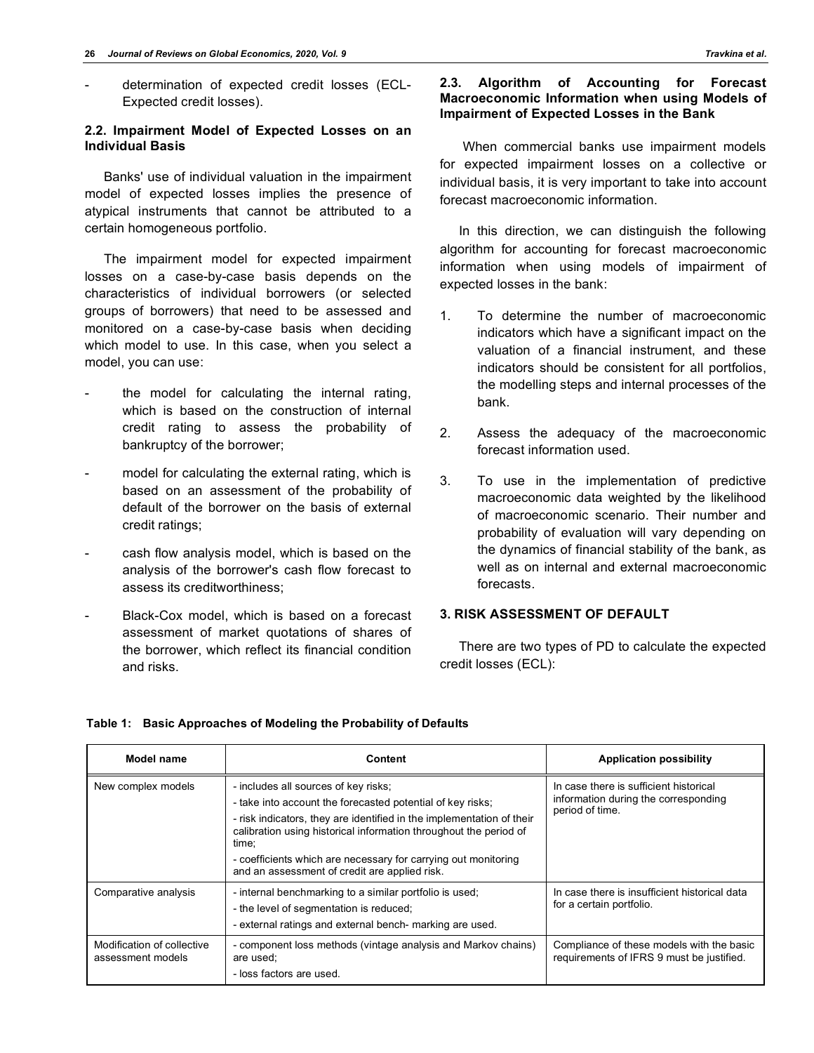- determination of expected credit losses (ECL-Expected credit losses).

## **2.2. Impairment Model of Expected Losses on an Individual Basis**

Banks' use of individual valuation in the impairment model of expected losses implies the presence of atypical instruments that cannot be attributed to a certain homogeneous portfolio.

The impairment model for expected impairment losses on a case-by-case basis depends on the characteristics of individual borrowers (or selected groups of borrowers) that need to be assessed and monitored on a case-by-case basis when deciding which model to use. In this case, when you select a model, you can use:

- the model for calculating the internal rating, which is based on the construction of internal credit rating to assess the probability of bankruptcy of the borrower;
- model for calculating the external rating, which is based on an assessment of the probability of default of the borrower on the basis of external credit ratings;
- cash flow analysis model, which is based on the analysis of the borrower's cash flow forecast to assess its creditworthiness;
- Black-Cox model, which is based on a forecast assessment of market quotations of shares of the borrower, which reflect its financial condition and risks.

#### **2.3. Algorithm of Accounting for Forecast Macroeconomic Information when using Models of Impairment of Expected Losses in the Bank**

 When commercial banks use impairment models for expected impairment losses on a collective or individual basis, it is very important to take into account forecast macroeconomic information.

In this direction, we can distinguish the following algorithm for accounting for forecast macroeconomic information when using models of impairment of expected losses in the bank:

- 1. To determine the number of macroeconomic indicators which have a significant impact on the valuation of a financial instrument, and these indicators should be consistent for all portfolios, the modelling steps and internal processes of the bank.
- 2. Assess the adequacy of the macroeconomic forecast information used.
- 3. To use in the implementation of predictive macroeconomic data weighted by the likelihood of macroeconomic scenario. Their number and probability of evaluation will vary depending on the dynamics of financial stability of the bank, as well as on internal and external macroeconomic forecasts.

## **3. RISK ASSESSMENT OF DEFAULT**

There are two types of PD to calculate the expected credit losses (ECL):

## **Table 1: Basic Approaches of Modeling the Probability of Defaults**

| Model name                                      | Content                                                                                                                                                                                                                                                                                                                                                                      | <b>Application possibility</b>                                                                    |
|-------------------------------------------------|------------------------------------------------------------------------------------------------------------------------------------------------------------------------------------------------------------------------------------------------------------------------------------------------------------------------------------------------------------------------------|---------------------------------------------------------------------------------------------------|
| New complex models                              | - includes all sources of key risks;<br>- take into account the forecasted potential of key risks;<br>- risk indicators, they are identified in the implementation of their<br>calibration using historical information throughout the period of<br>time:<br>- coefficients which are necessary for carrying out monitoring<br>and an assessment of credit are applied risk. | In case there is sufficient historical<br>information during the corresponding<br>period of time. |
| Comparative analysis                            | - internal benchmarking to a similar portfolio is used;<br>- the level of segmentation is reduced;<br>- external ratings and external bench- marking are used.                                                                                                                                                                                                               | In case there is insufficient historical data<br>for a certain portfolio.                         |
| Modification of collective<br>assessment models | - component loss methods (vintage analysis and Markov chains)<br>are used;<br>- loss factors are used.                                                                                                                                                                                                                                                                       | Compliance of these models with the basic<br>requirements of IFRS 9 must be justified.            |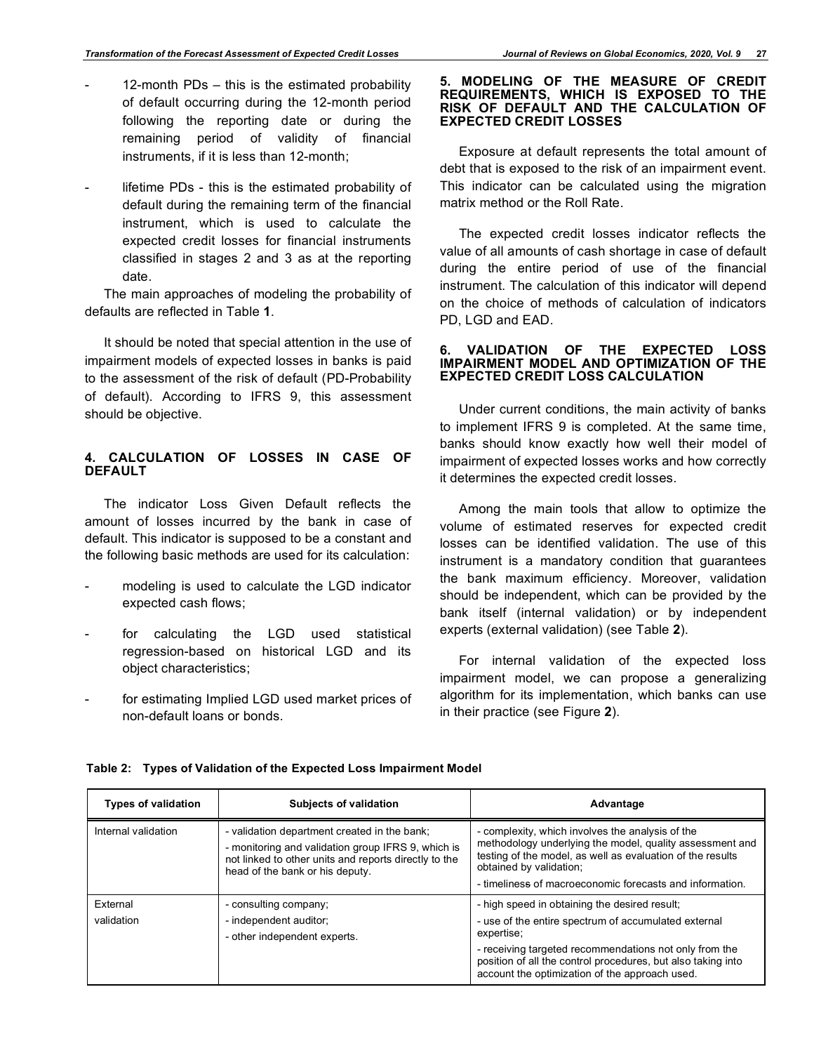- 12-month  $PDs this$  is the estimated probability of default occurring during the 12-month period following the reporting date or during the remaining period of validity of financial instruments, if it is less than 12-month;
- lifetime PDs this is the estimated probability of default during the remaining term of the financial instrument, which is used to calculate the expected credit losses for financial instruments classified in stages 2 and 3 as at the reporting date.

The main approaches of modeling the probability of defaults are reflected in Table **1**.

It should be noted that special attention in the use of impairment models of expected losses in banks is paid to the assessment of the risk of default (PD-Probability of default). According to IFRS 9, this assessment should be objective.

# **4. CALCULATION OF LOSSES IN CASE OF DEFAULT**

The indicator Loss Given Default reflects the amount of losses incurred by the bank in case of default. This indicator is supposed to be a constant and the following basic methods are used for its calculation:

- modeling is used to calculate the LGD indicator expected cash flows;
- for calculating the LGD used statistical regression-based on historical LGD and its object characteristics;
- for estimating Implied LGD used market prices of non-default loans or bonds.

#### **5. MODELING OF THE MEASURE OF CREDIT REQUIREMENTS, WHICH IS EXPOSED TO THE RISK OF DEFAULT AND THE CALCULATION OF EXPECTED CREDIT LOSSES**

Exposure at default represents the total amount of debt that is exposed to the risk of an impairment event. This indicator can be calculated using the migration matrix method or the Roll Rate.

The expected credit losses indicator reflects the value of all amounts of cash shortage in case of default during the entire period of use of the financial instrument. The calculation of this indicator will depend on the choice of methods of calculation of indicators PD, LGD and EAD.

## **6. VALIDATION OF THE EXPECTED LOSS IMPAIRMENT MODEL AND OPTIMIZATION OF THE EXPECTED CREDIT LOSS CALCULATION**

Under current conditions, the main activity of banks to implement IFRS 9 is completed. At the same time, banks should know exactly how well their model of impairment of expected losses works and how correctly it determines the expected credit losses.

Among the main tools that allow to optimize the volume of estimated reserves for expected credit losses can be identified validation. The use of this instrument is a mandatory condition that guarantees the bank maximum efficiency. Moreover, validation should be independent, which can be provided by the bank itself (internal validation) or by independent experts (external validation) (see Table **2**).

For internal validation of the expected loss impairment model, we can propose a generalizing algorithm for its implementation, which banks can use in their practice (see Figure **2**).

| <b>Types of validation</b>                                           | <b>Subjects of validation</b>                                                                                                                                                                  | Advantage                                                                                                                                                                                                                                                         |
|----------------------------------------------------------------------|------------------------------------------------------------------------------------------------------------------------------------------------------------------------------------------------|-------------------------------------------------------------------------------------------------------------------------------------------------------------------------------------------------------------------------------------------------------------------|
| Internal validation                                                  | - validation department created in the bank;<br>- monitoring and validation group IFRS 9, which is<br>not linked to other units and reports directly to the<br>head of the bank or his deputy. | - complexity, which involves the analysis of the<br>methodology underlying the model, quality assessment and<br>testing of the model, as well as evaluation of the results<br>obtained by validation;<br>- timeliness of macroeconomic forecasts and information. |
| External                                                             | - consulting company;                                                                                                                                                                          | - high speed in obtaining the desired result:                                                                                                                                                                                                                     |
| validation<br>- independent auditor;<br>- other independent experts. | - use of the entire spectrum of accumulated external<br>expertise;                                                                                                                             |                                                                                                                                                                                                                                                                   |
|                                                                      |                                                                                                                                                                                                | - receiving targeted recommendations not only from the<br>position of all the control procedures, but also taking into<br>account the optimization of the approach used.                                                                                          |

**Table 2: Types of Validation of the Expected Loss Impairment Model**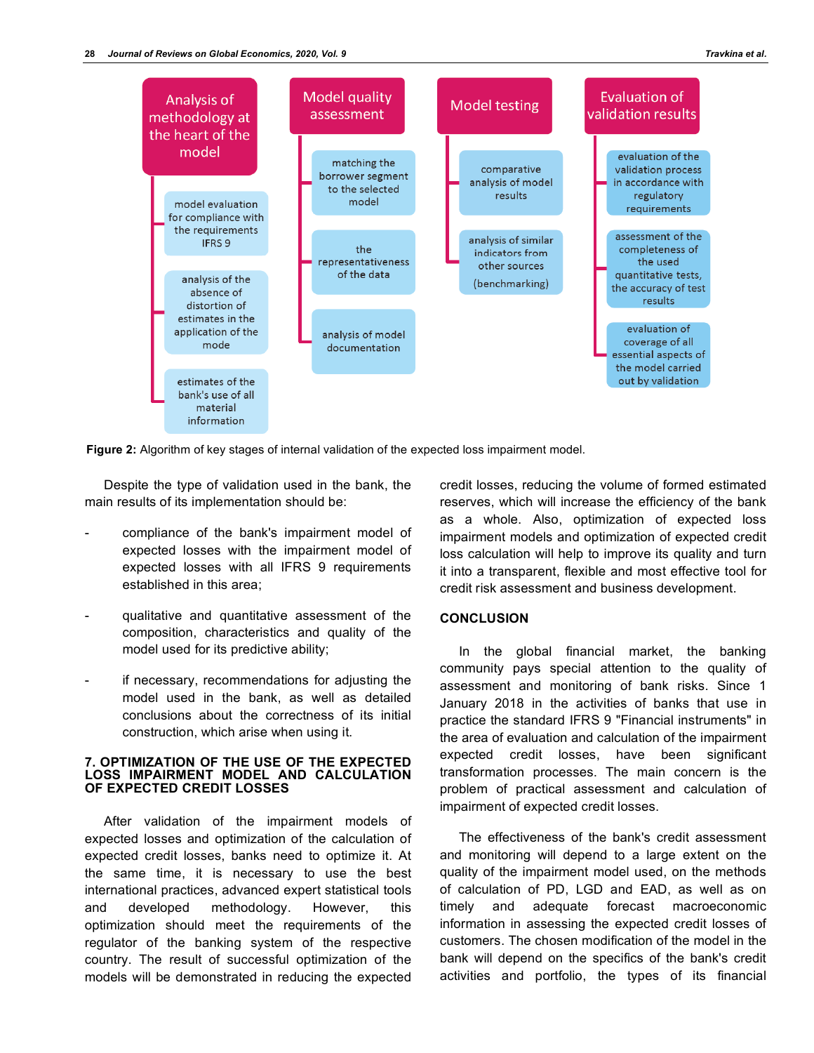

**Figure 2:** Algorithm of key stages of internal validation of the expected loss impairment model.

Despite the type of validation used in the bank, the main results of its implementation should be:

- compliance of the bank's impairment model of expected losses with the impairment model of expected losses with all IFRS 9 requirements established in this area;
- qualitative and quantitative assessment of the composition, characteristics and quality of the model used for its predictive ability;
- if necessary, recommendations for adjusting the model used in the bank, as well as detailed conclusions about the correctness of its initial construction, which arise when using it.

#### **7. OPTIMIZATION OF THE USE OF THE EXPECTED LOSS IMPAIRMENT MODEL AND CALCULATION OF EXPECTED CREDIT LOSSES**

After validation of the impairment models of expected losses and optimization of the calculation of expected credit losses, banks need to optimize it. At the same time, it is necessary to use the best international practices, advanced expert statistical tools and developed methodology. However, this optimization should meet the requirements of the regulator of the banking system of the respective country. The result of successful optimization of the models will be demonstrated in reducing the expected

credit losses, reducing the volume of formed estimated reserves, which will increase the efficiency of the bank as a whole. Also, optimization of expected loss impairment models and optimization of expected credit loss calculation will help to improve its quality and turn it into a transparent, flexible and most effective tool for credit risk assessment and business development.

## **CONCLUSION**

In the global financial market, the banking community pays special attention to the quality of assessment and monitoring of bank risks. Since 1 January 2018 in the activities of banks that use in practice the standard IFRS 9 "Financial instruments" in the area of evaluation and calculation of the impairment expected credit losses, have been significant transformation processes. The main concern is the problem of practical assessment and calculation of impairment of expected credit losses.

The effectiveness of the bank's credit assessment and monitoring will depend to a large extent on the quality of the impairment model used, on the methods of calculation of PD, LGD and EAD, as well as on timely and adequate forecast macroeconomic information in assessing the expected credit losses of customers. The chosen modification of the model in the bank will depend on the specifics of the bank's credit activities and portfolio, the types of its financial